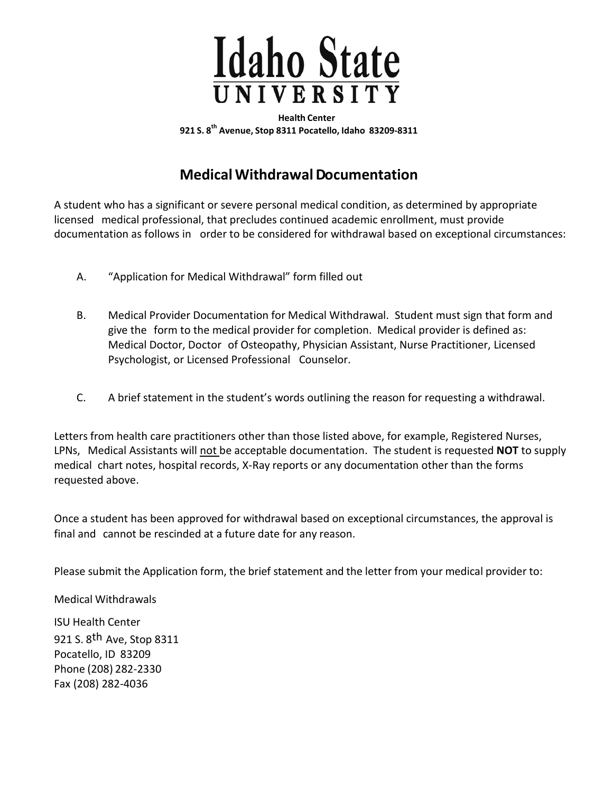

**Health Center 921 S. 8 th Avenue, Stop 8311 Pocatello, Idaho 83209-8311**

### **Medical WithdrawalDocumentation**

A student who has a significant or severe personal medical condition, as determined by appropriate licensed medical professional, that precludes continued academic enrollment, must provide documentation as follows in order to be considered for withdrawal based on exceptional circumstances:

- A. "Application for Medical Withdrawal" form filled out
- B. Medical Provider Documentation for Medical Withdrawal. Student must sign that form and give the form to the medical provider for completion. Medical provider is defined as: Medical Doctor, Doctor of Osteopathy, Physician Assistant, Nurse Practitioner, Licensed Psychologist, or Licensed Professional Counselor.
- C. A brief statement in the student's words outlining the reason for requesting a withdrawal.

Letters from health care practitioners other than those listed above, for example, Registered Nurses, LPNs, Medical Assistants will not be acceptable documentation. The student is requested **NOT** to supply medical chart notes, hospital records, X-Ray reports or any documentation other than the forms requested above.

Once a student has been approved for withdrawal based on exceptional circumstances, the approval is final and cannot be rescinded at a future date for any reason.

Please submit the Application form, the brief statement and the letter from your medical provider to:

Medical Withdrawals

ISU Health Center 921 S. 8<sup>th</sup> Ave, Stop 8311 Pocatello, ID 83209 Phone (208) 282-2330 Fax (208) 282-4036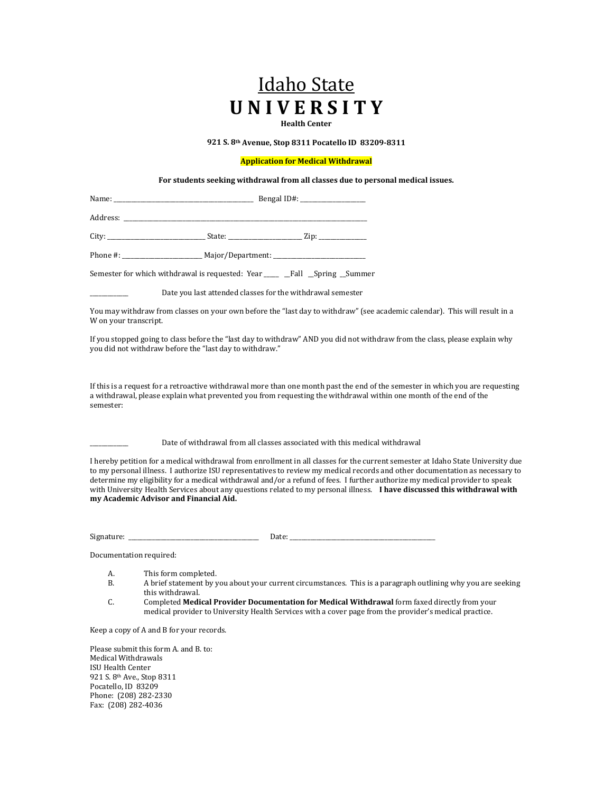# Idaho State **U N I V E R S I T Y**

**Health Center**

**921 S. 8th Avenue, Stop 8311 Pocatello ID 83209-8311**

#### **Application for Medical Withdrawal**

**For students seeking withdrawal from all classes due to personal medical issues.**

Name: \_\_\_\_\_\_\_\_\_\_\_\_\_\_\_\_\_\_\_\_\_\_\_\_\_\_\_\_\_\_\_\_\_\_\_\_\_\_\_\_\_\_\_\_\_\_\_ Bengal ID#: \_\_\_\_\_\_\_\_\_\_\_\_\_\_\_\_\_\_\_\_\_\_ Address: \_\_\_\_\_\_\_\_\_\_\_\_\_\_\_\_\_\_\_\_\_\_\_\_\_\_\_\_\_\_\_\_\_\_\_\_\_\_\_\_\_\_\_\_\_\_\_\_\_\_\_\_\_\_\_\_\_\_\_\_\_\_\_\_\_\_\_\_\_\_\_\_\_\_\_\_\_\_\_\_\_\_ City: \_\_\_\_\_\_\_\_\_\_\_\_\_\_\_\_\_\_\_\_\_\_\_\_\_\_\_\_\_\_\_\_\_ State: \_\_\_\_\_\_\_\_\_\_\_\_\_\_\_\_\_\_\_\_\_\_\_\_\_ Zip: \_\_\_\_\_\_\_\_\_\_\_\_\_\_\_\_ Phone #: \_\_\_\_\_\_\_\_\_\_\_\_\_\_\_\_\_\_\_\_\_\_\_\_\_\_\_ Major/Department: \_\_\_\_\_\_\_\_\_\_\_\_\_\_\_\_\_\_\_\_\_\_\_\_\_\_\_\_\_\_\_

Semester for which withdrawal is requested: Year \_\_\_\_\_ \_Fall \_Spring \_Summer

Date you last attended classes for the withdrawal semester

You may withdraw from classes on your own before the "last day to withdraw" (see academic calendar). This will result in a W on your transcript.

If you stopped going to class before the "last day to withdraw" AND you did not withdraw from the class, please explain why you did not withdraw before the "last day to withdraw."

If this is a request for a retroactive withdrawal more than one month past the end of the semester in which you are requesting a withdrawal, please explain what prevented you from requesting the withdrawal within one month of the end of the semester:

Date of withdrawal from all classes associated with this medical withdrawal

I hereby petition for a medical withdrawal from enrollment in all classes for the current semester at Idaho State University due to my personal illness. I authorize ISU representatives to review my medical records and other documentation as necessary to determine my eligibility for a medical withdrawal and/or a refund of fees. I further authorize my medical provider to speak with University Health Services about any questions related to my personal illness. **I have discussed this withdrawal with my Academic Advisor and Financial Aid.**

Signature: \_\_\_\_\_\_\_\_\_\_\_\_\_\_\_\_\_\_\_\_\_\_\_\_\_\_\_\_\_\_\_\_\_\_\_\_\_\_\_\_\_\_\_\_ Date: \_\_\_\_\_\_\_\_\_\_\_\_\_\_\_\_\_\_\_\_\_\_\_\_\_\_\_\_\_\_\_\_\_\_\_\_\_\_\_\_\_\_\_\_\_\_\_\_\_

Documentation required:

- A. This form completed.<br>B. A brief statement by y
- B. A brief statement by you about your current circumstances. This is a paragraph outlining why you are seeking this withdrawal.
- C. Completed **Medical Provider Documentation for Medical Withdrawal** form faxed directly from your medical provider to University Health Services with a cover page from the provider's medical practice.

Keep a copy of A and B for your records.

Please submit this form A. and B. to: Medical Withdrawals ISU Health Center 921 S. 8th Ave., Stop 8311 Pocatello, ID 83209 Phone: (208) 282-2330 Fax: (208) 282-4036